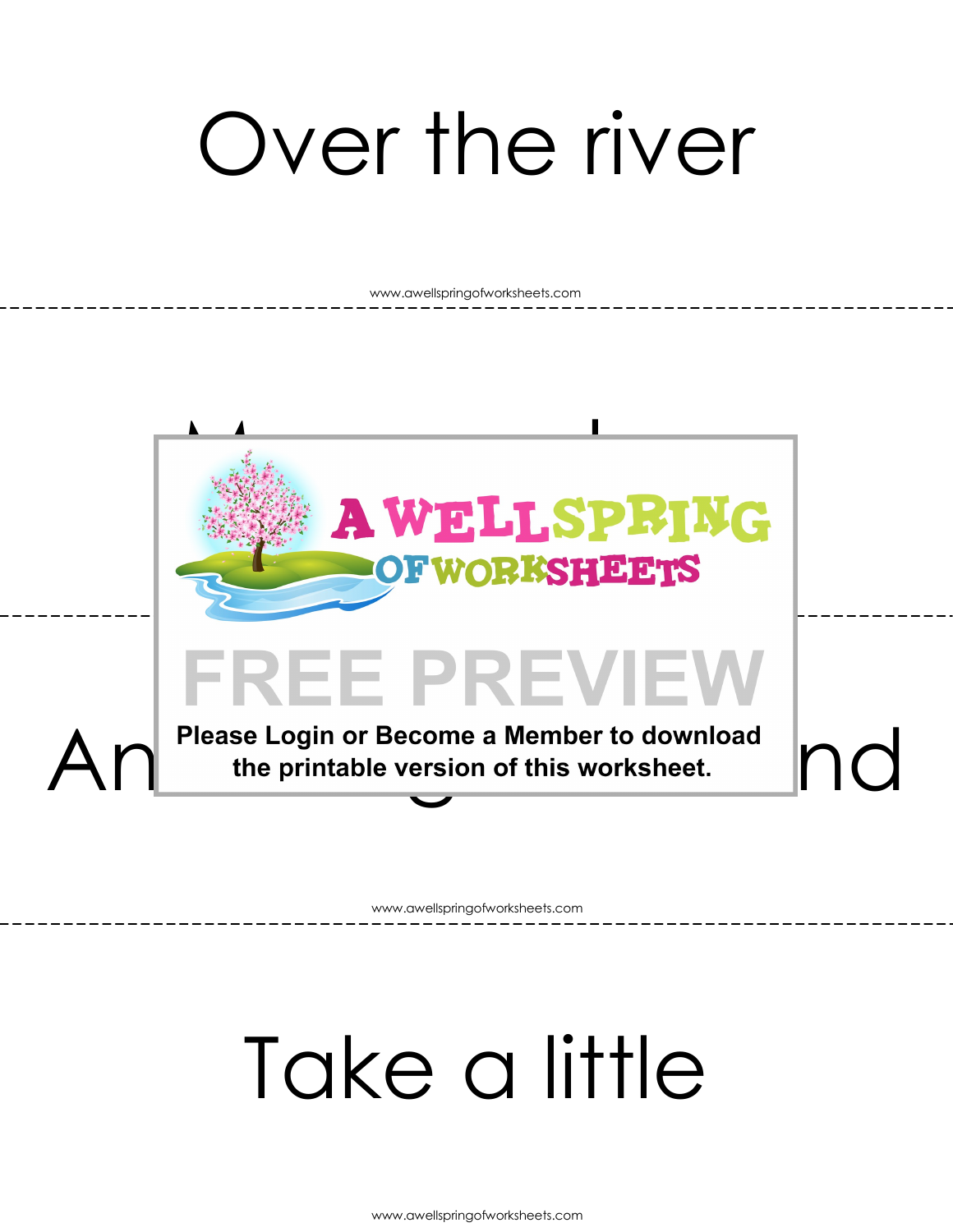### Over the river

www.awellspringofworksheets.com



www.awellspringofworksheets.com

#### Take a little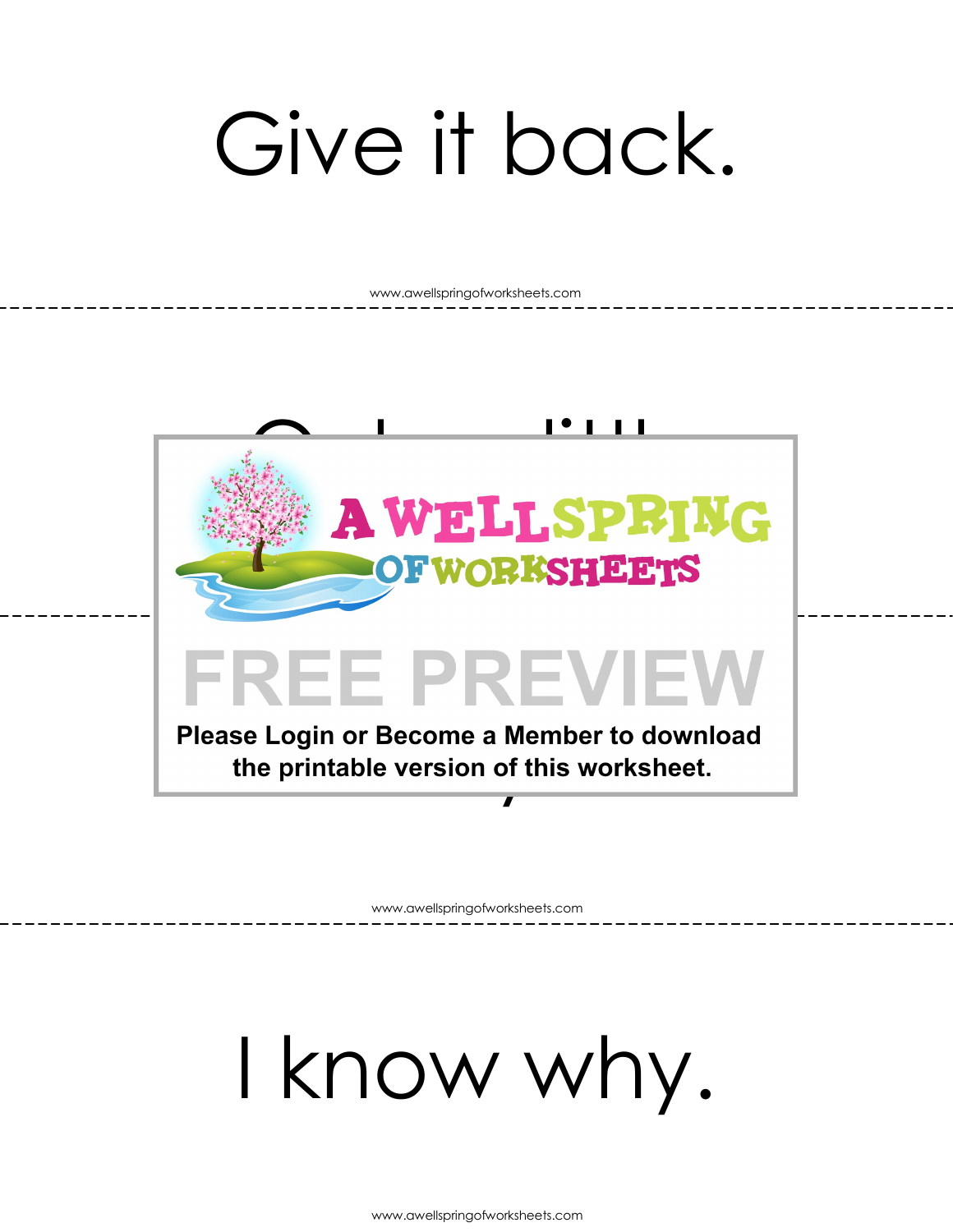## Give it back.

www.awellspringofworksheets.com



www.awellspringofworksheets.com

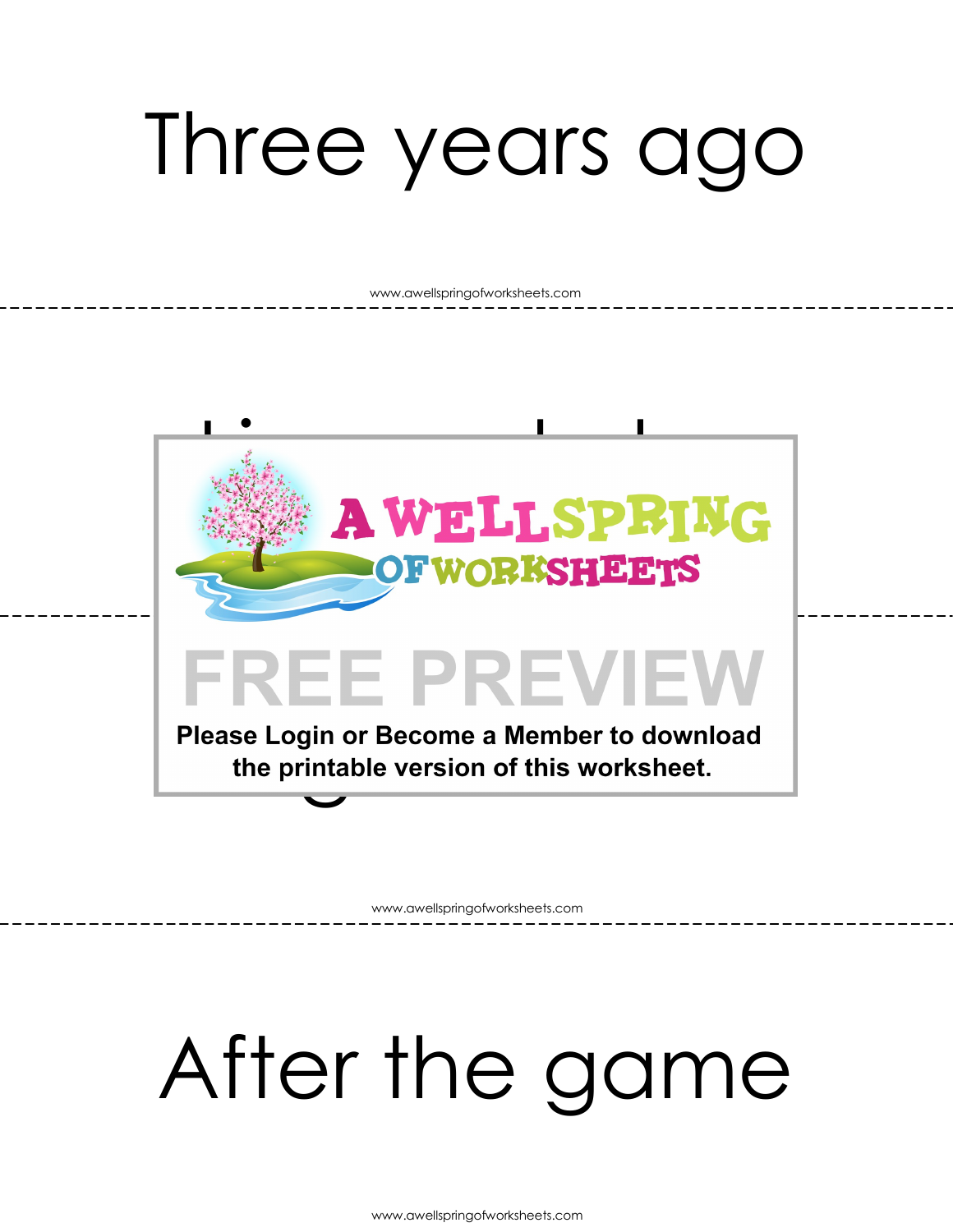### Three years ago

www.awellspringofworksheets.com



www.awellspringofworksheets.com

#### After the game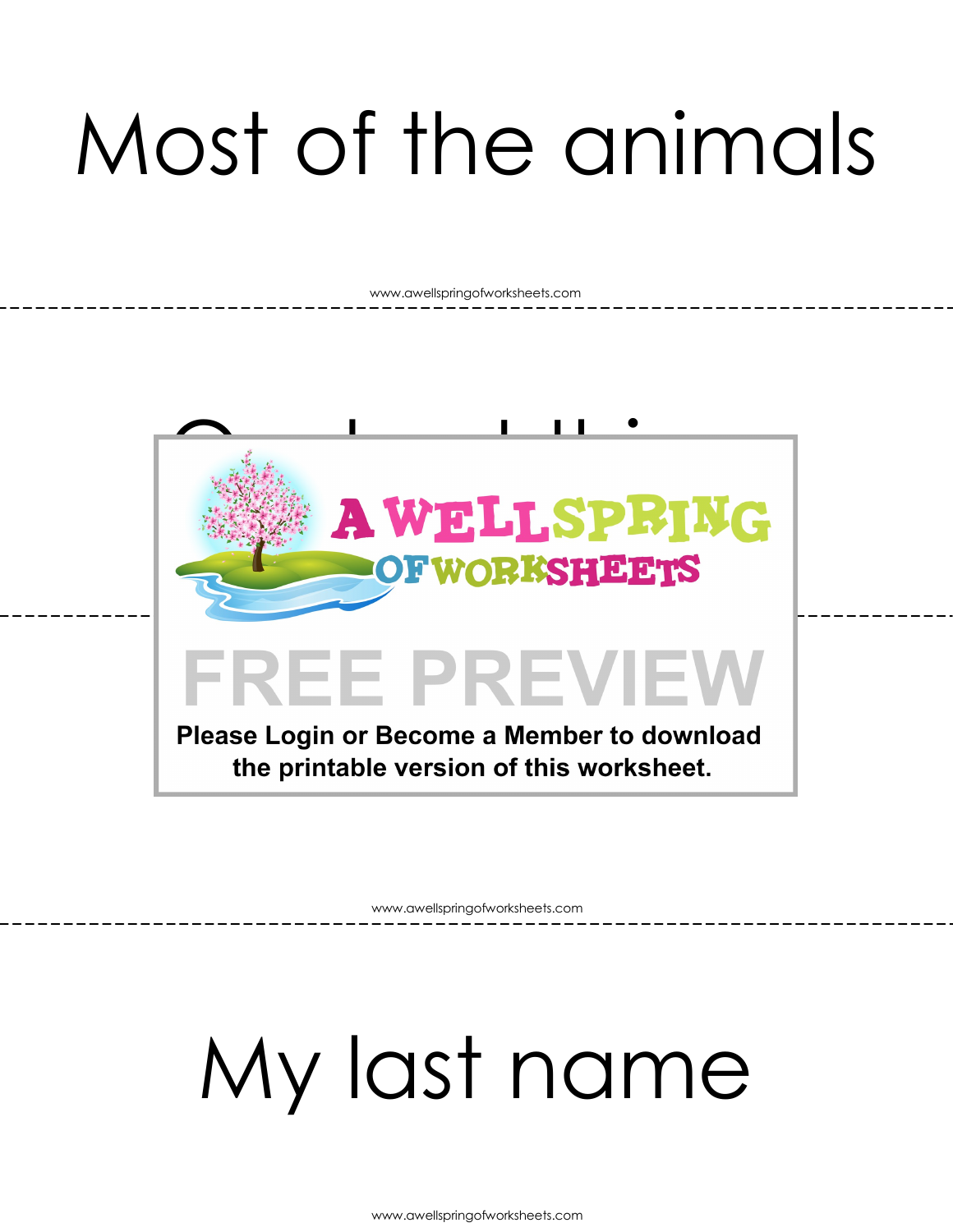## Most of the animals

www.awellspringofworksheets.com



www.awellspringofworksheets.com

### My last name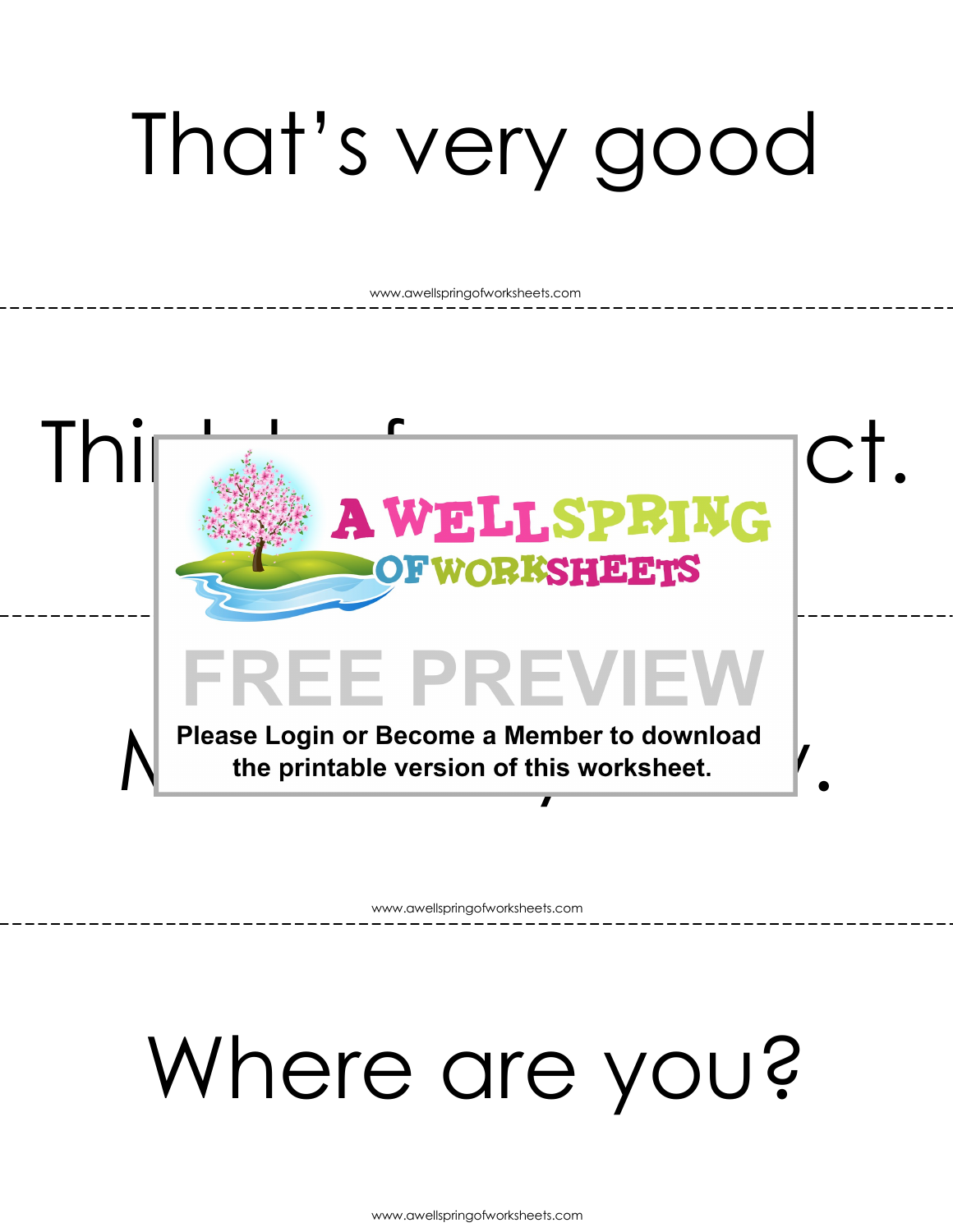# That's very good

www.awellspringofworksheets.com



www.awellspringofworksheets.com

### Where are you?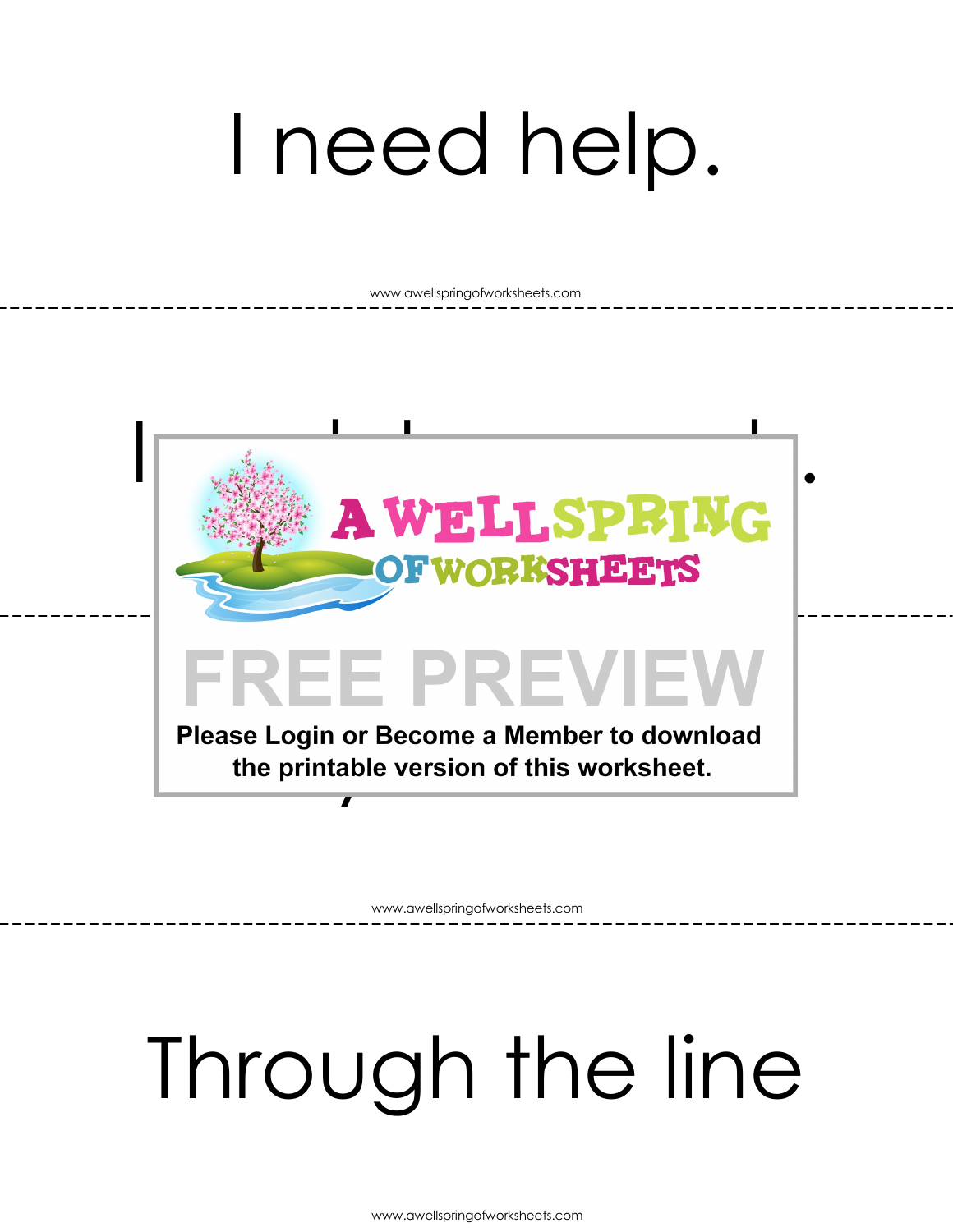### I need help.

www.awellspringofworksheets.com



www.awellspringofworksheets.com

## Through the line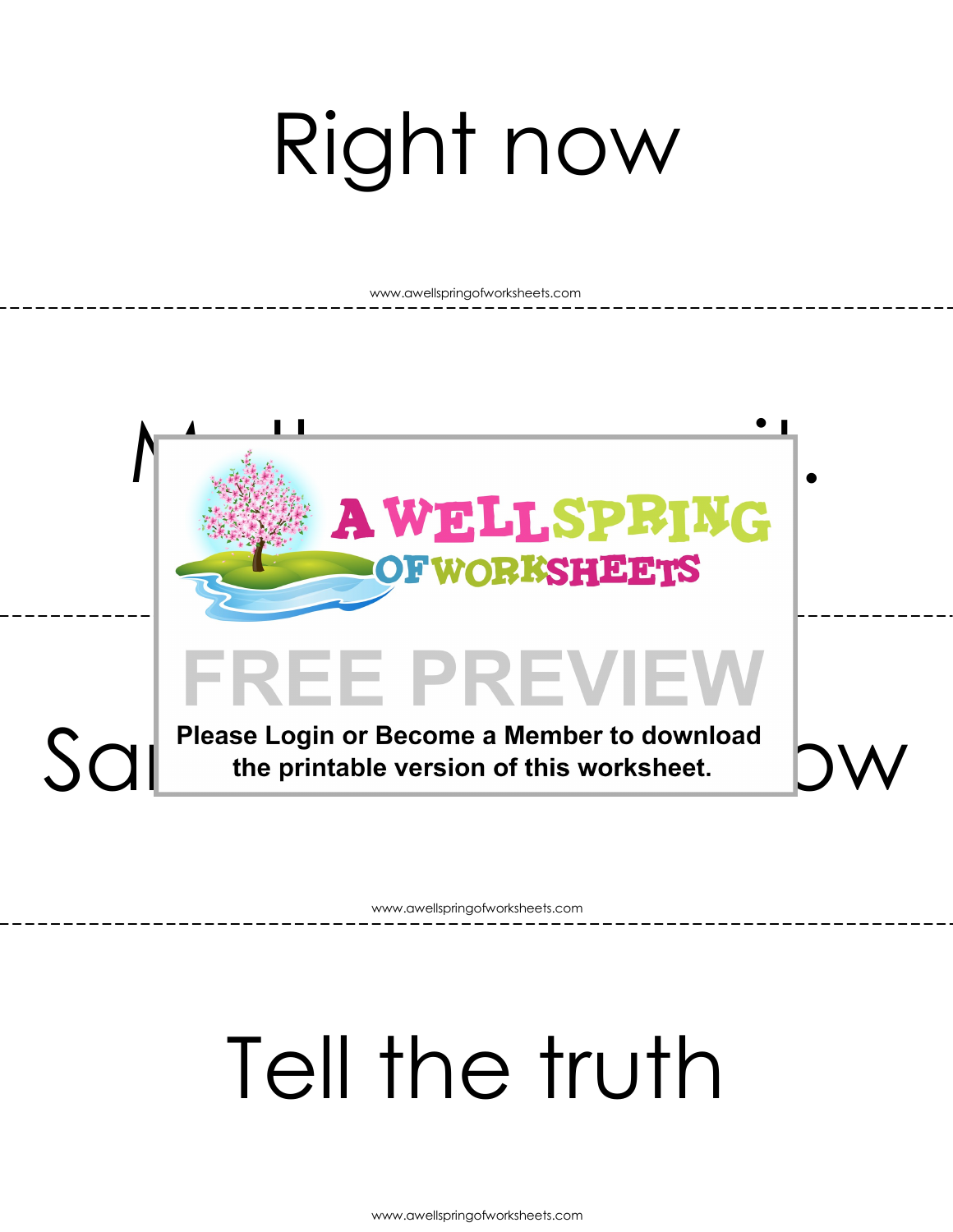# Right now

www.awellspringofworksheets.com



www.awellspringofworksheets.com

### Tell the truth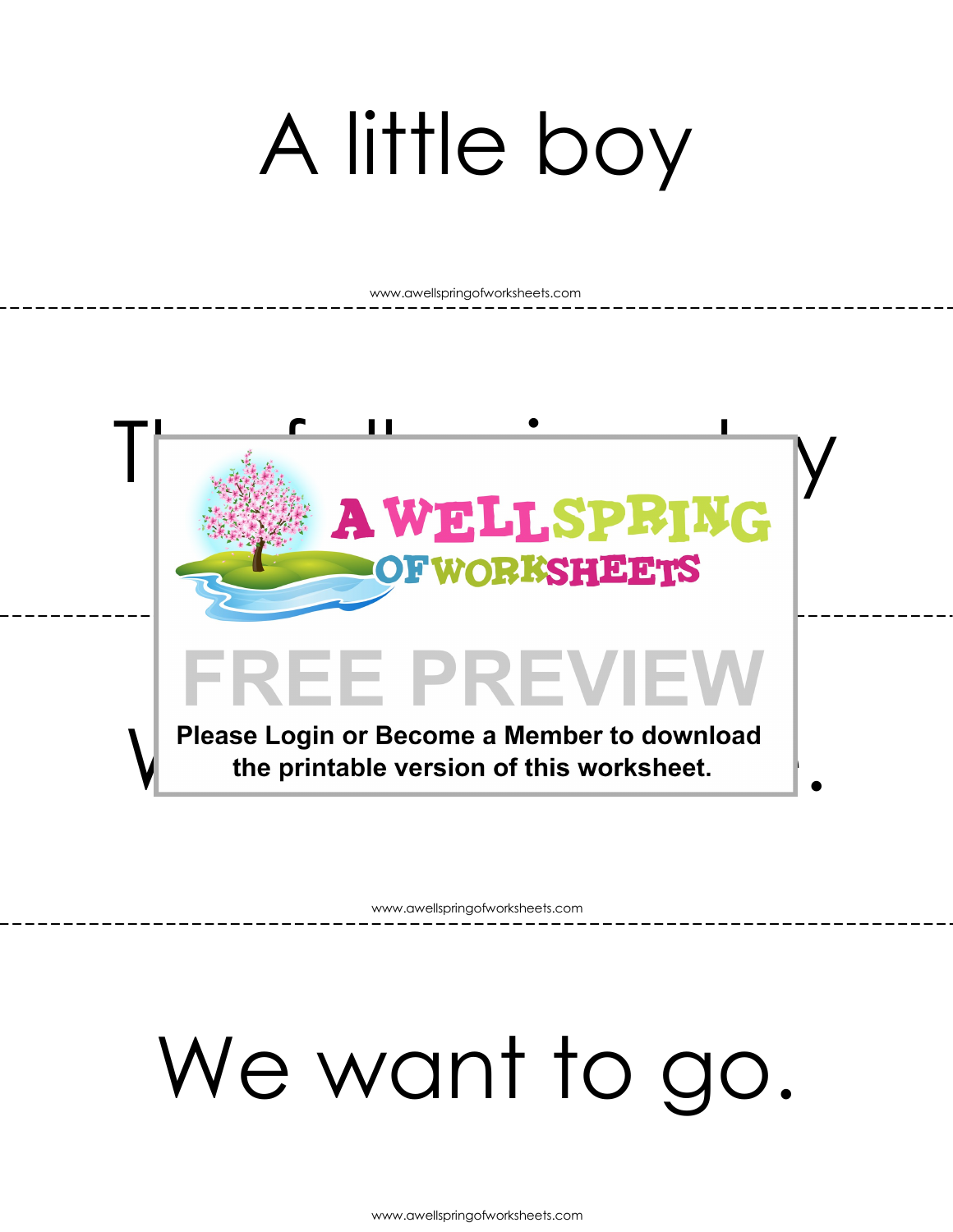## A little boy

www.awellspringofworksheets.com



www.awellspringofworksheets.com

### We want to go.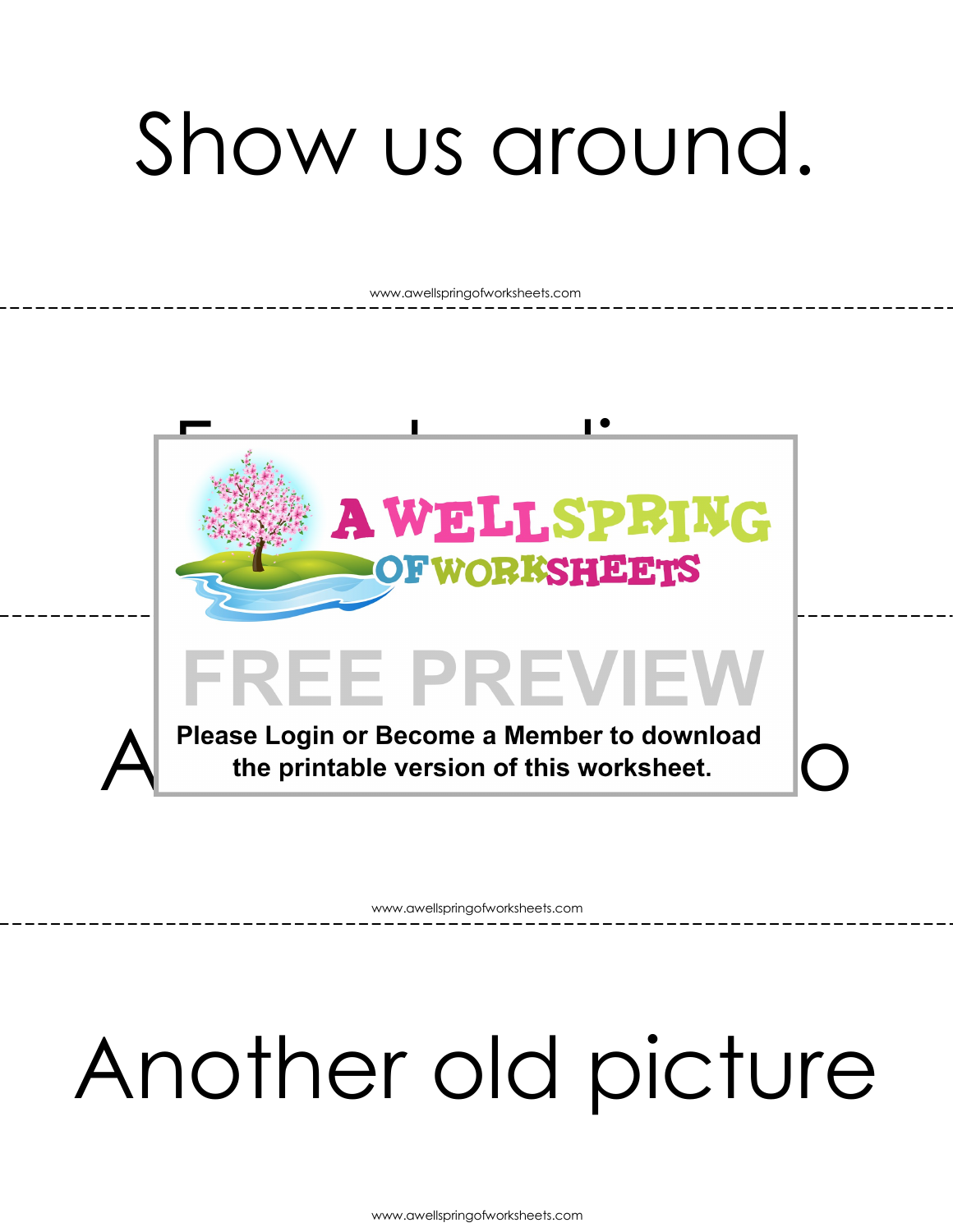## Show us around.

www.awellspringofworksheets.com



www.awellspringofworksheets.com

## Another old picture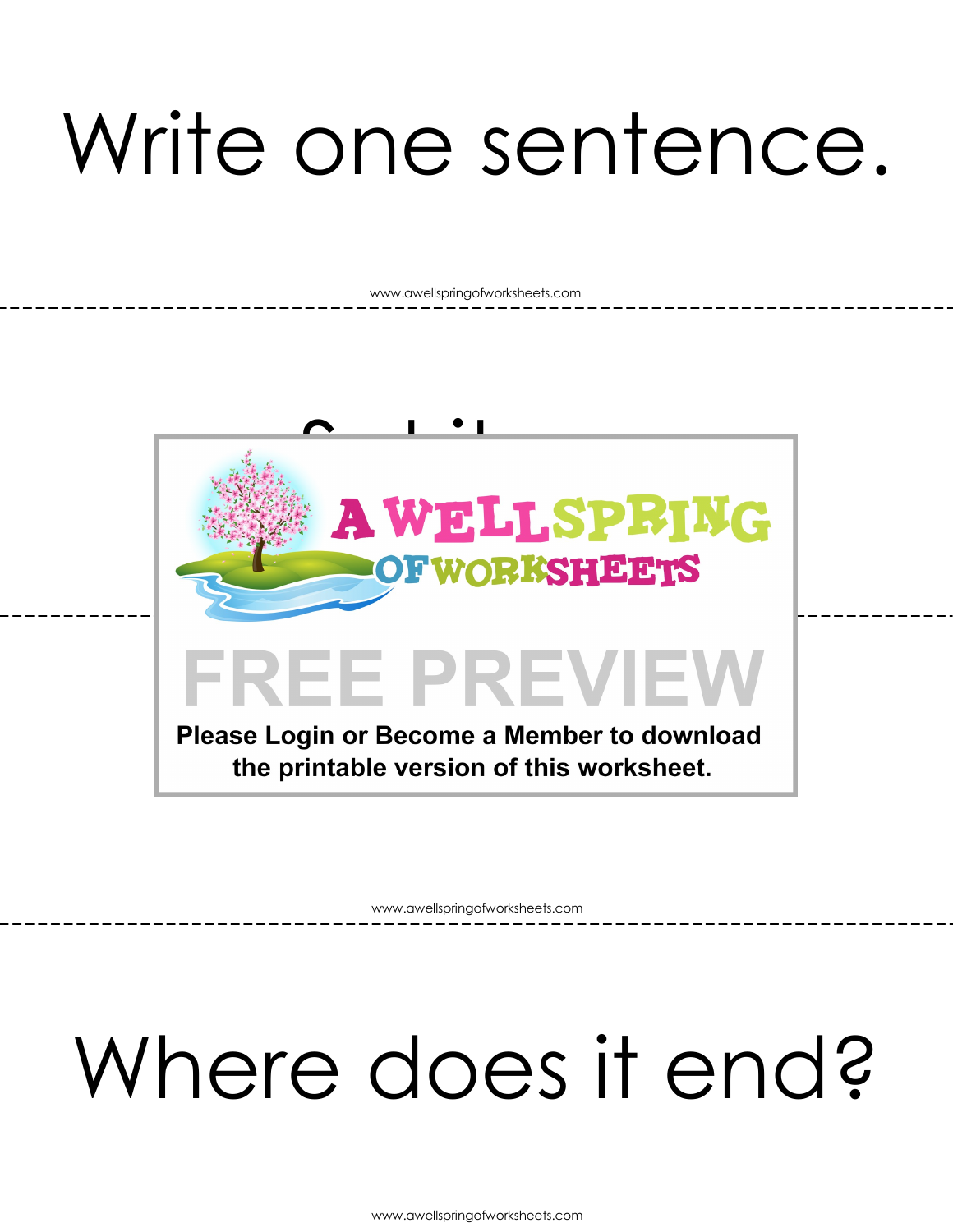### Write one sentence.

www.awellspringofworksheets.com



www.awellspringofworksheets.com

## Where does it end?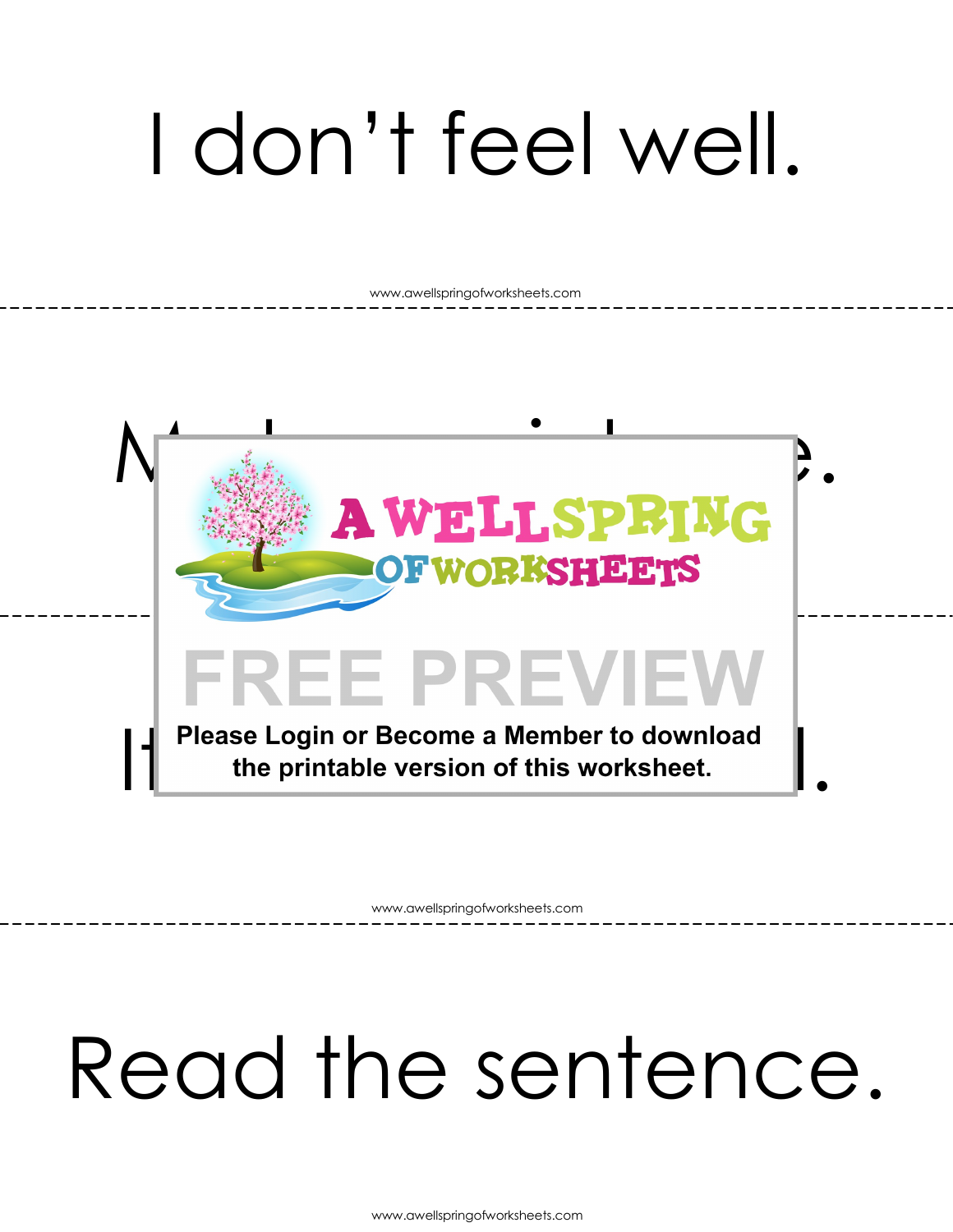## I don't feel well.

www.awellspringofworksheets.com



www.awellspringofworksheets.com

#### Read the sentence.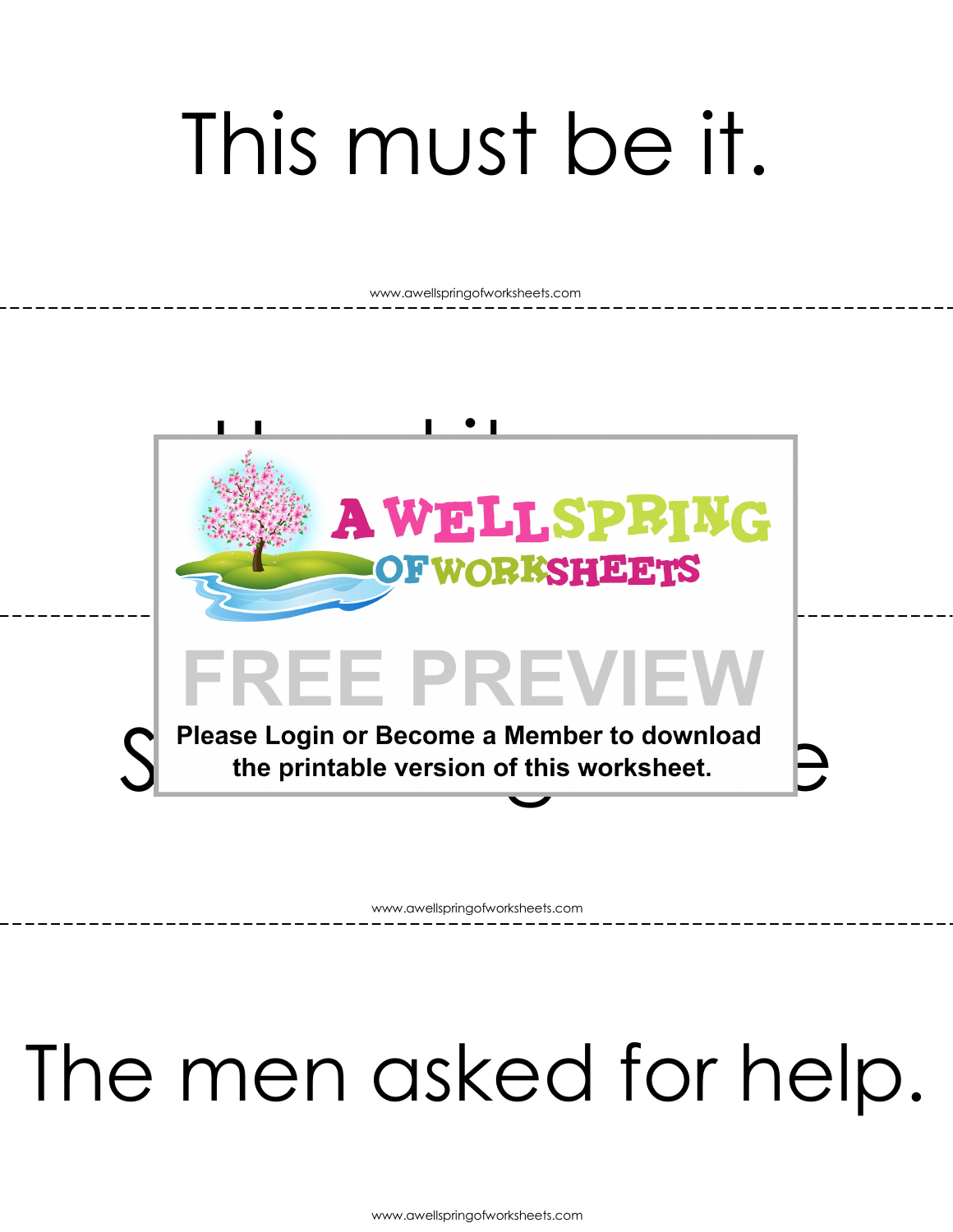## This must be it.

www.awellspringofworksheets.com



www.awellspringofworksheets.com

#### The men asked for help.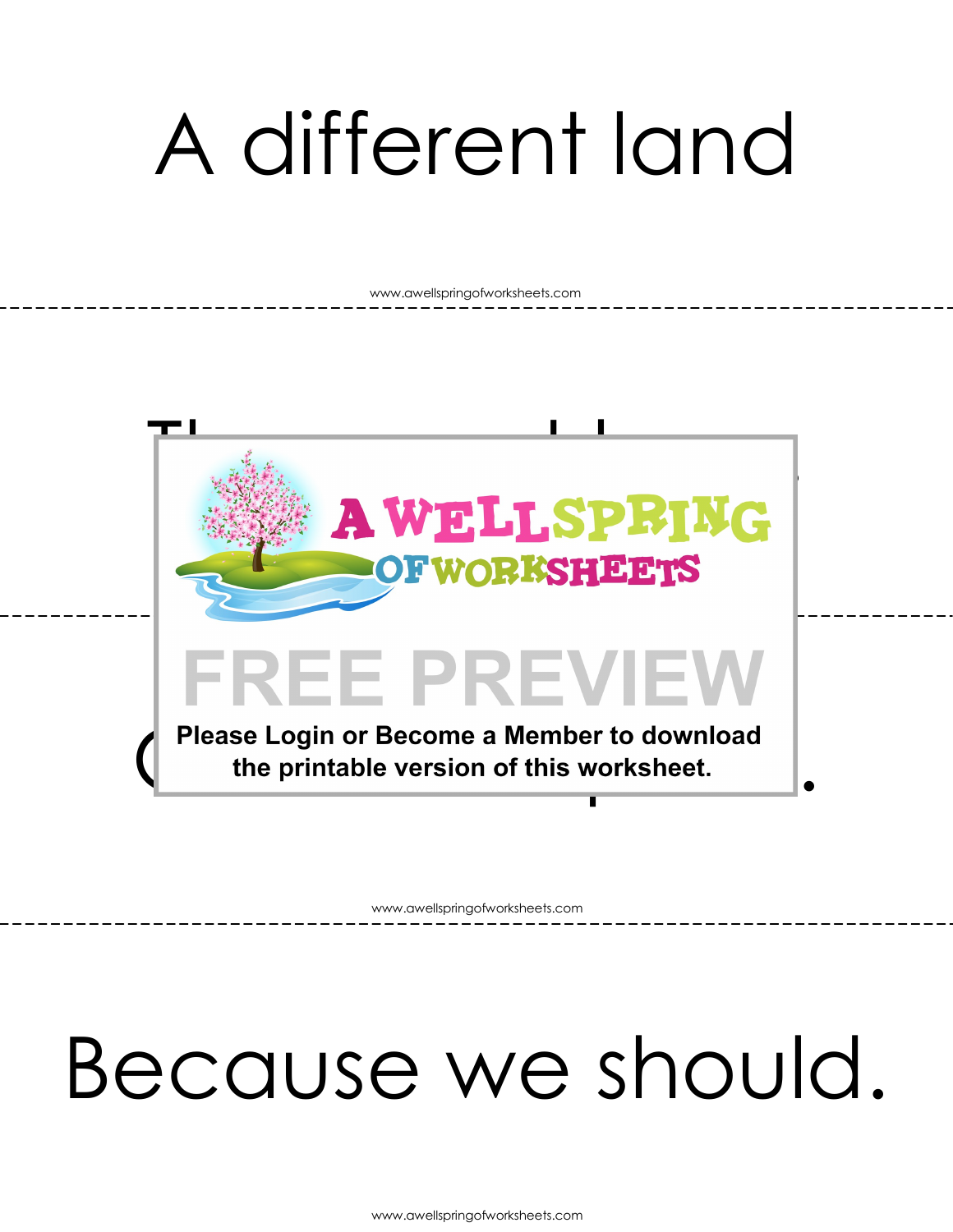## A different land

www.awellspringofworksheets.com



www.awellspringofworksheets.com

#### Because we should.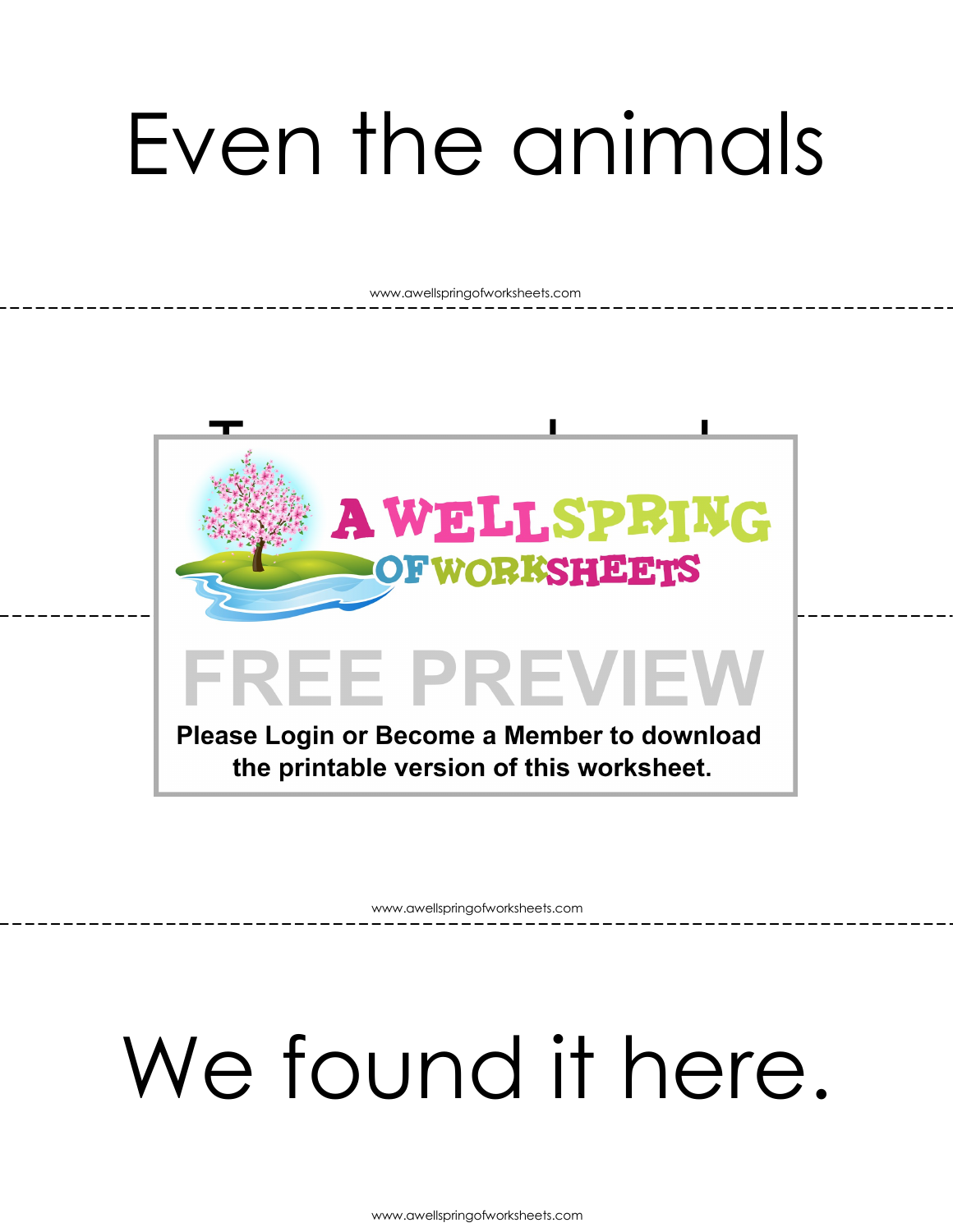## Even the animals

www.awellspringofworksheets.com



www.awellspringofworksheets.com

### We found it here.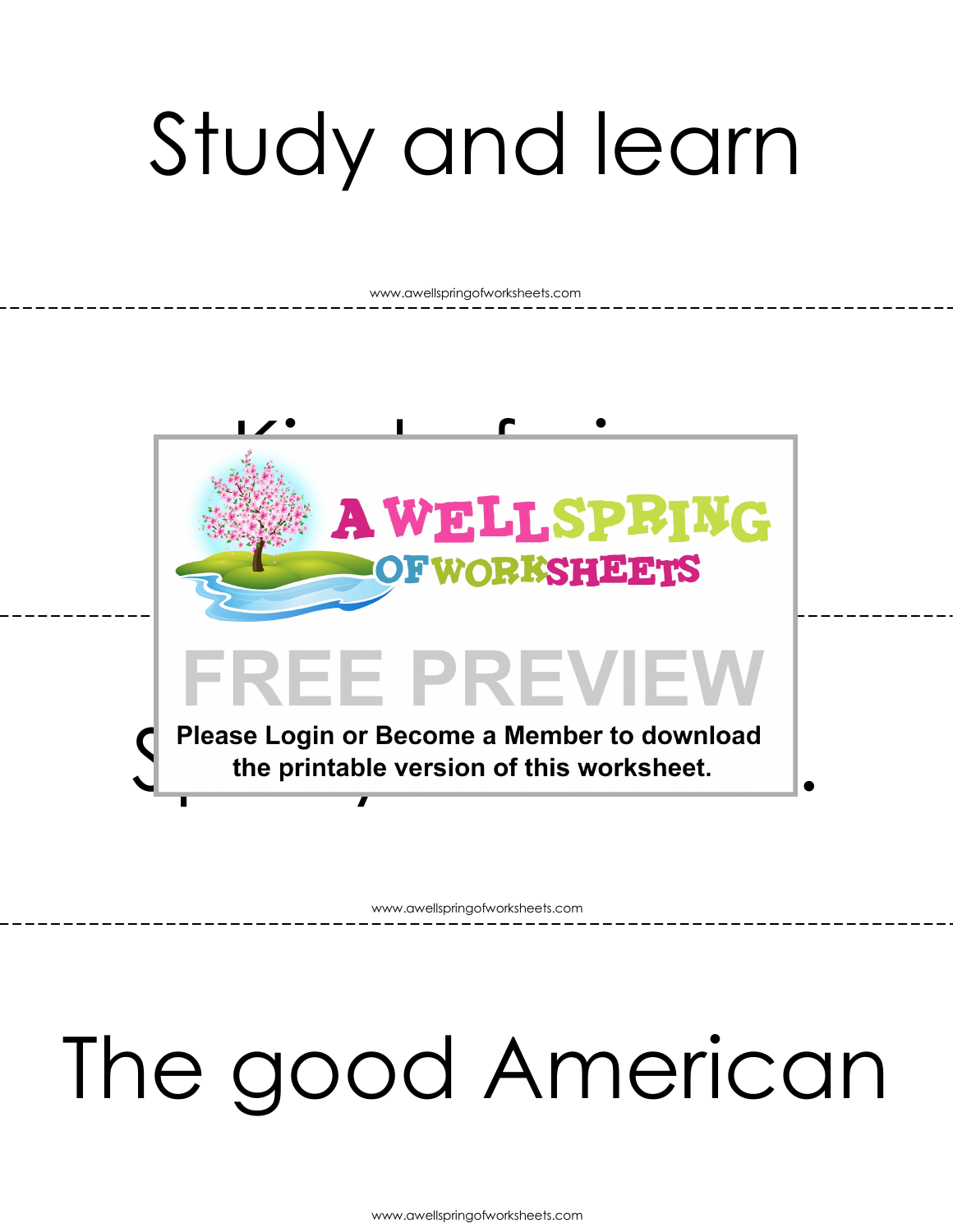# Study and learn

www.awellspringofworksheets.com



www.awellspringofworksheets.com

### The good American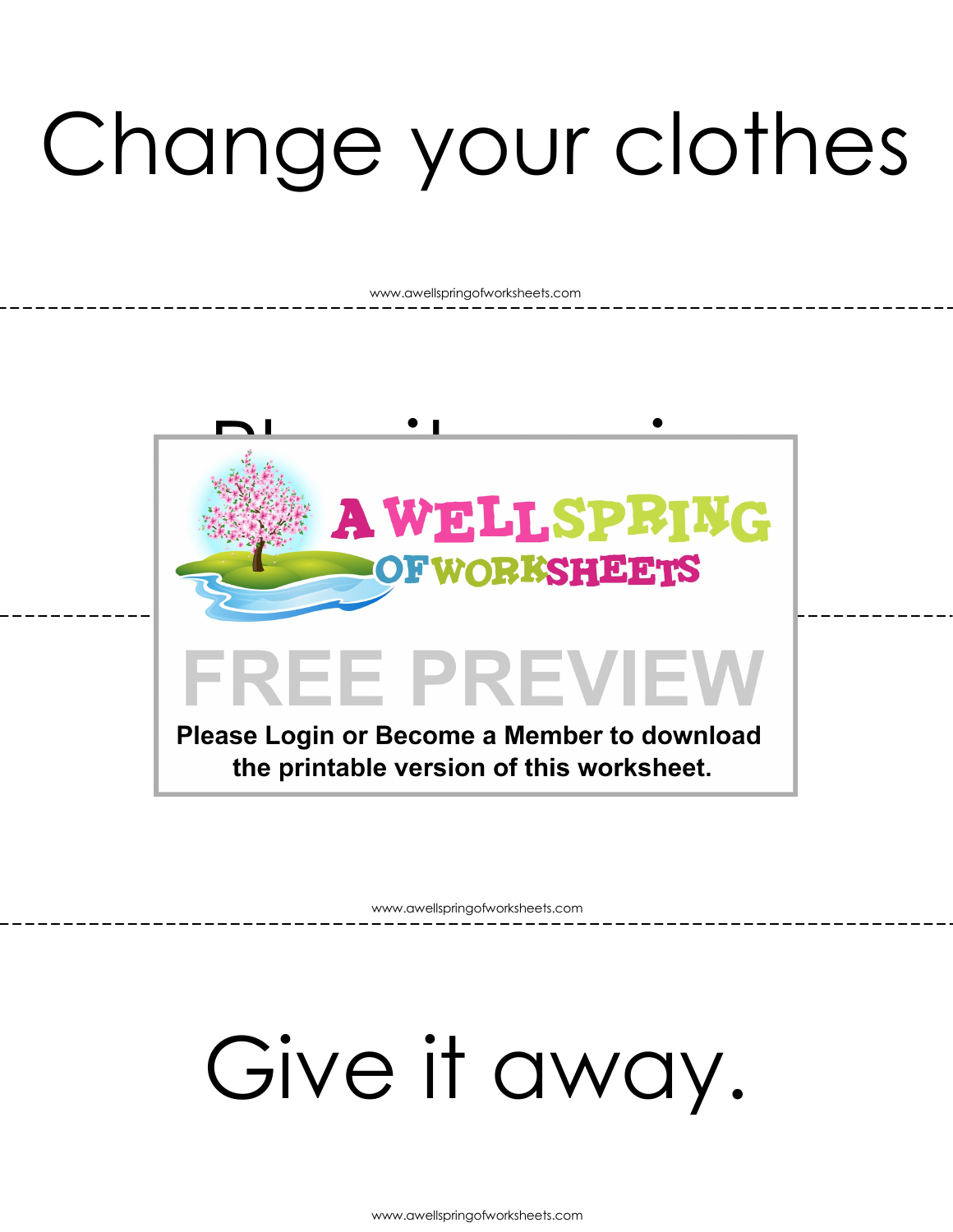# Change your clothes

www.awellspringofworksheets.com



www.awellspringofworksheets.com

### Give it away.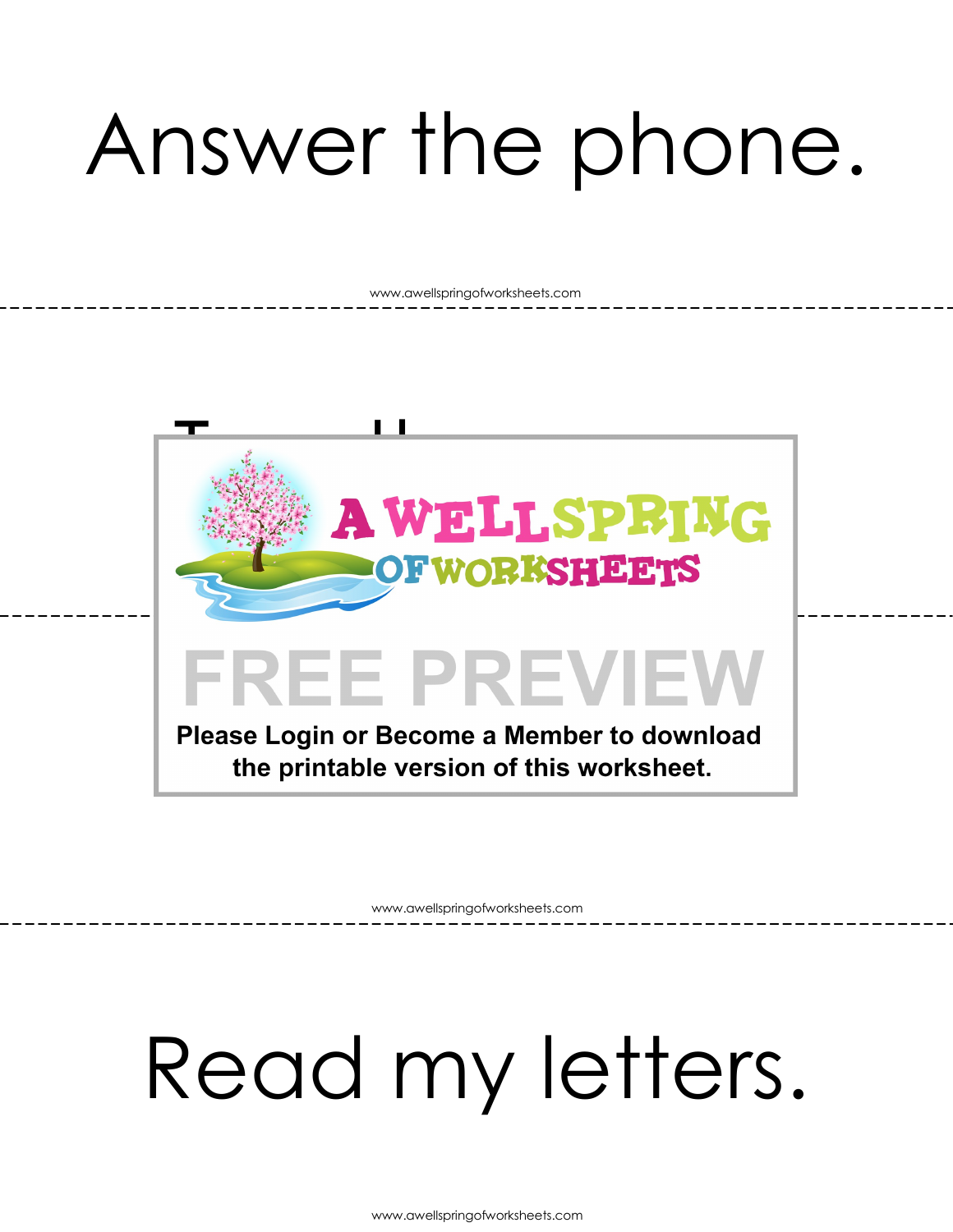## Answer the phone.

www.awellspringofworksheets.com



www.awellspringofworksheets.com

## Read my letters.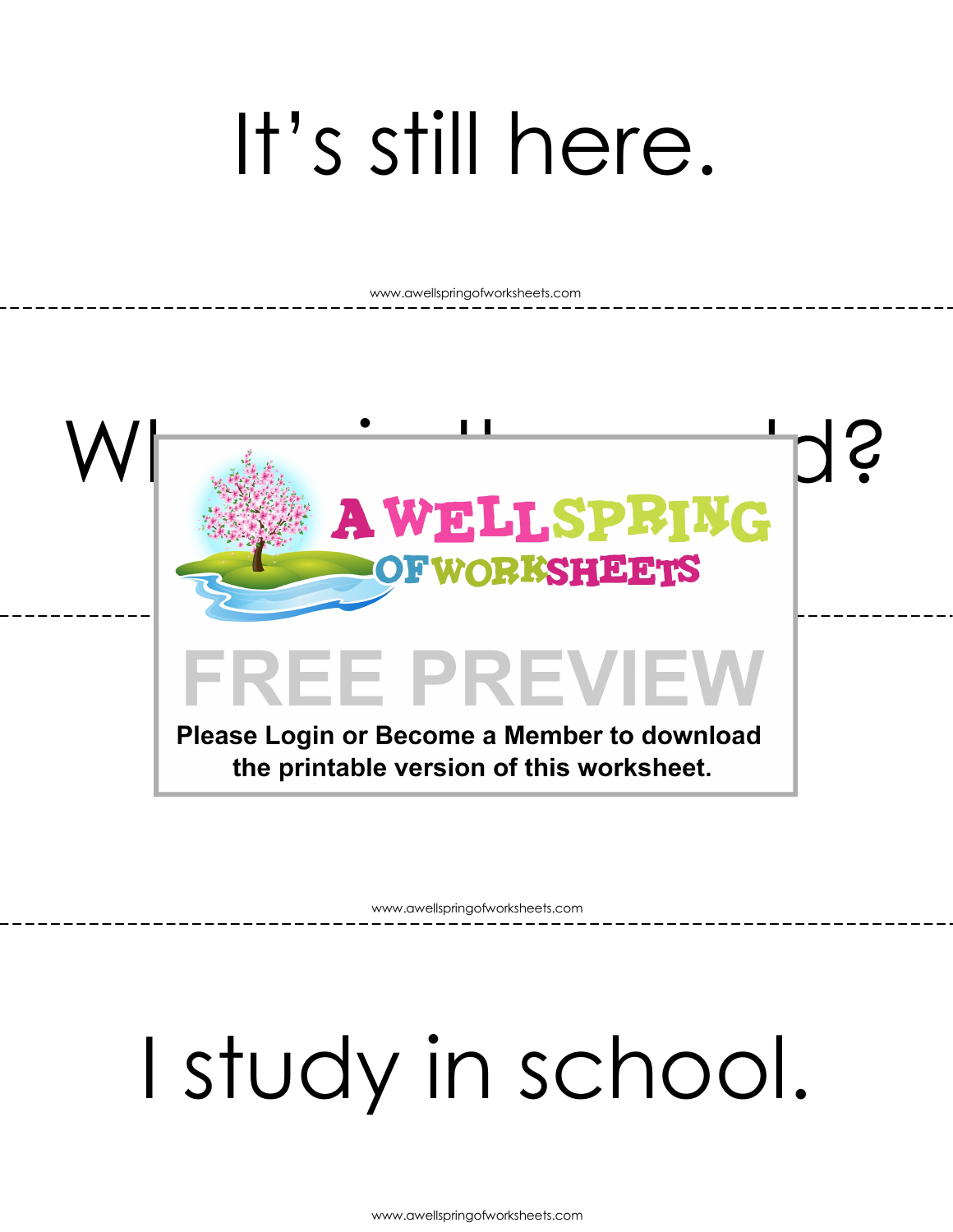## It's still here.

www.awellspringofworksheets.com



www.awellspringofworksheets.com

# I study in school.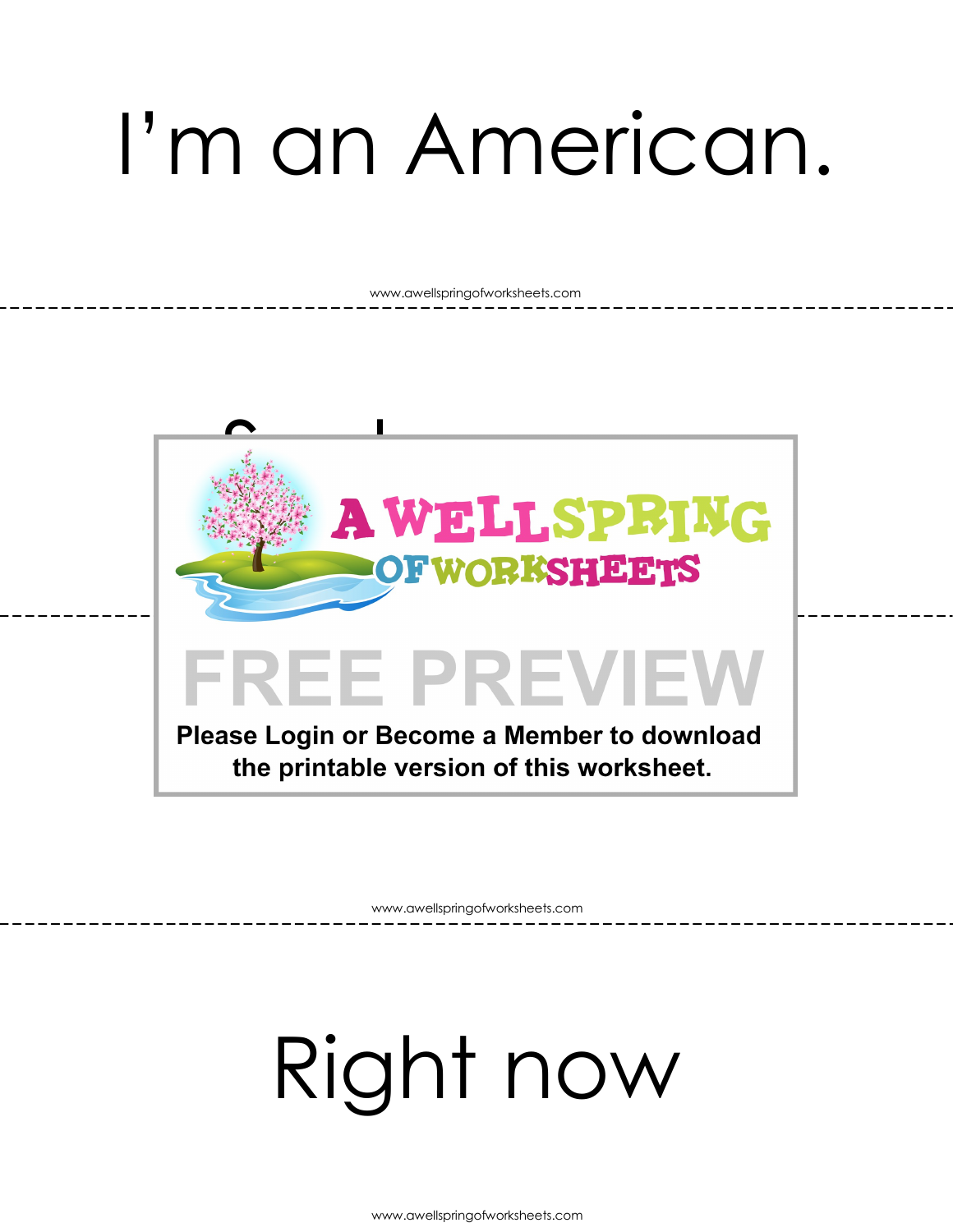## I'm an American.

www.awellspringofworksheets.com



www.awellspringofworksheets.com

## Right now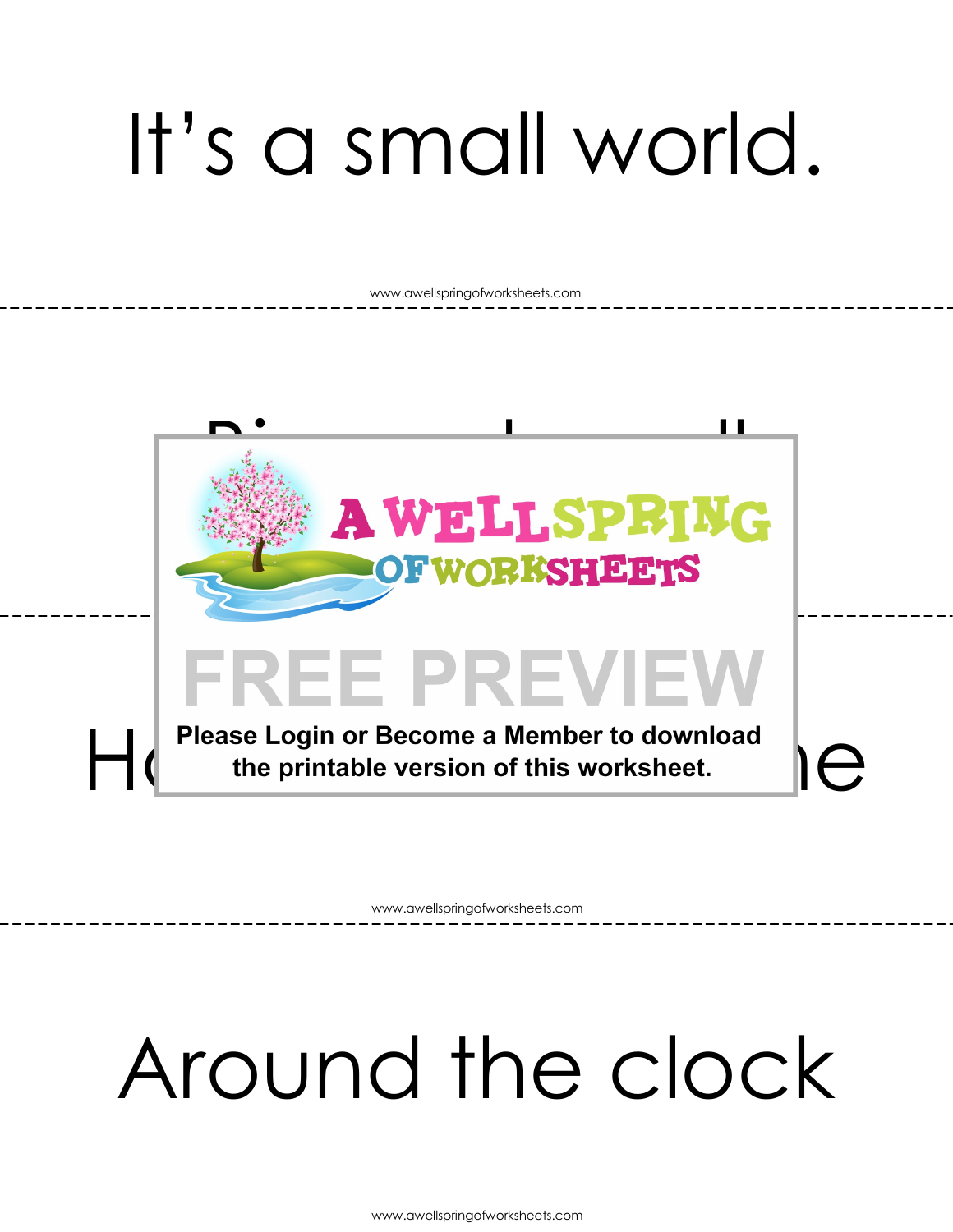## It's a small world.

www.awellspringofworksheets.com



www.awellspringofworksheets.com

### Around the clock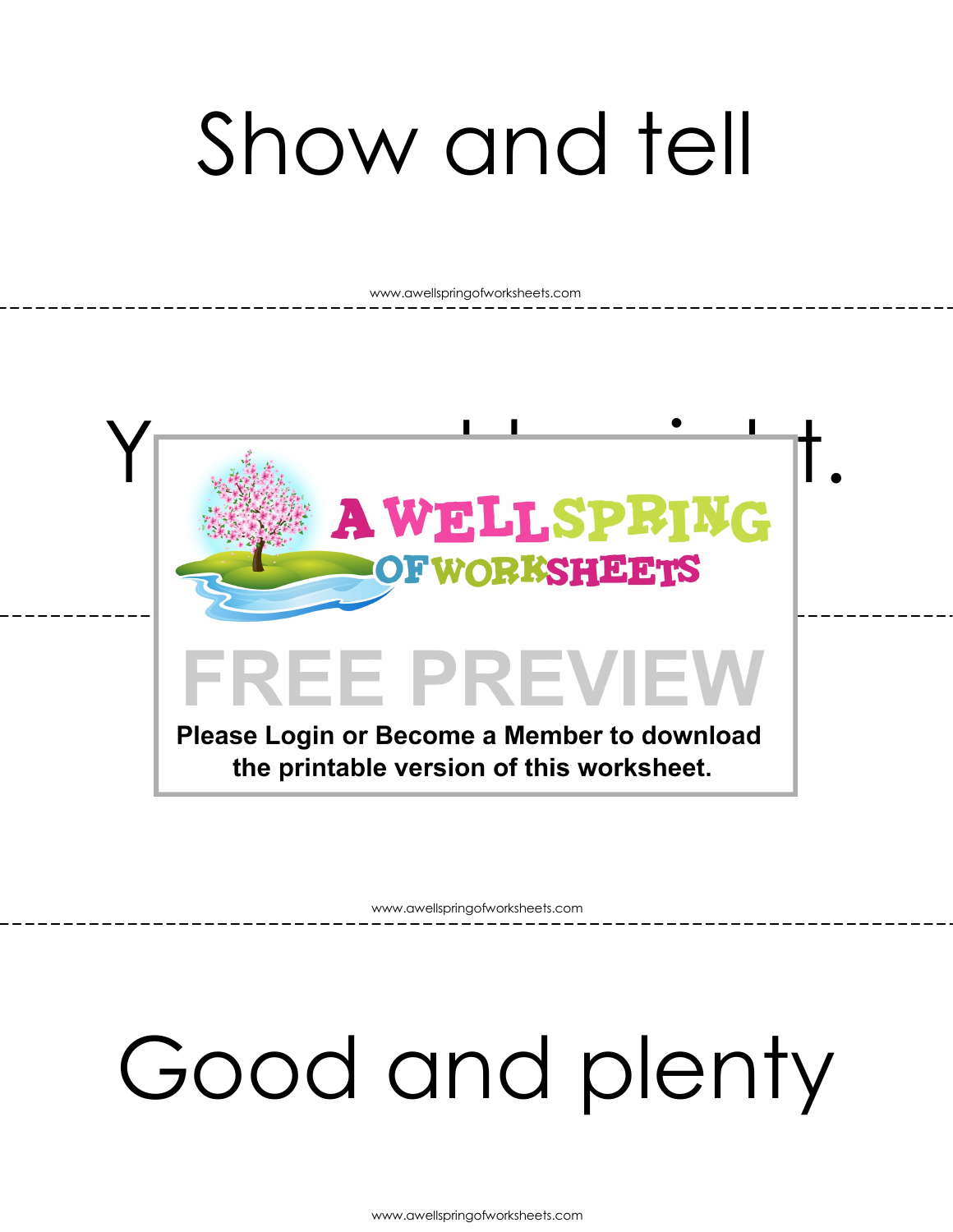## Show and tell

www.awellspringofworksheets.com



www.awellspringofworksheets.com

### Good and plenty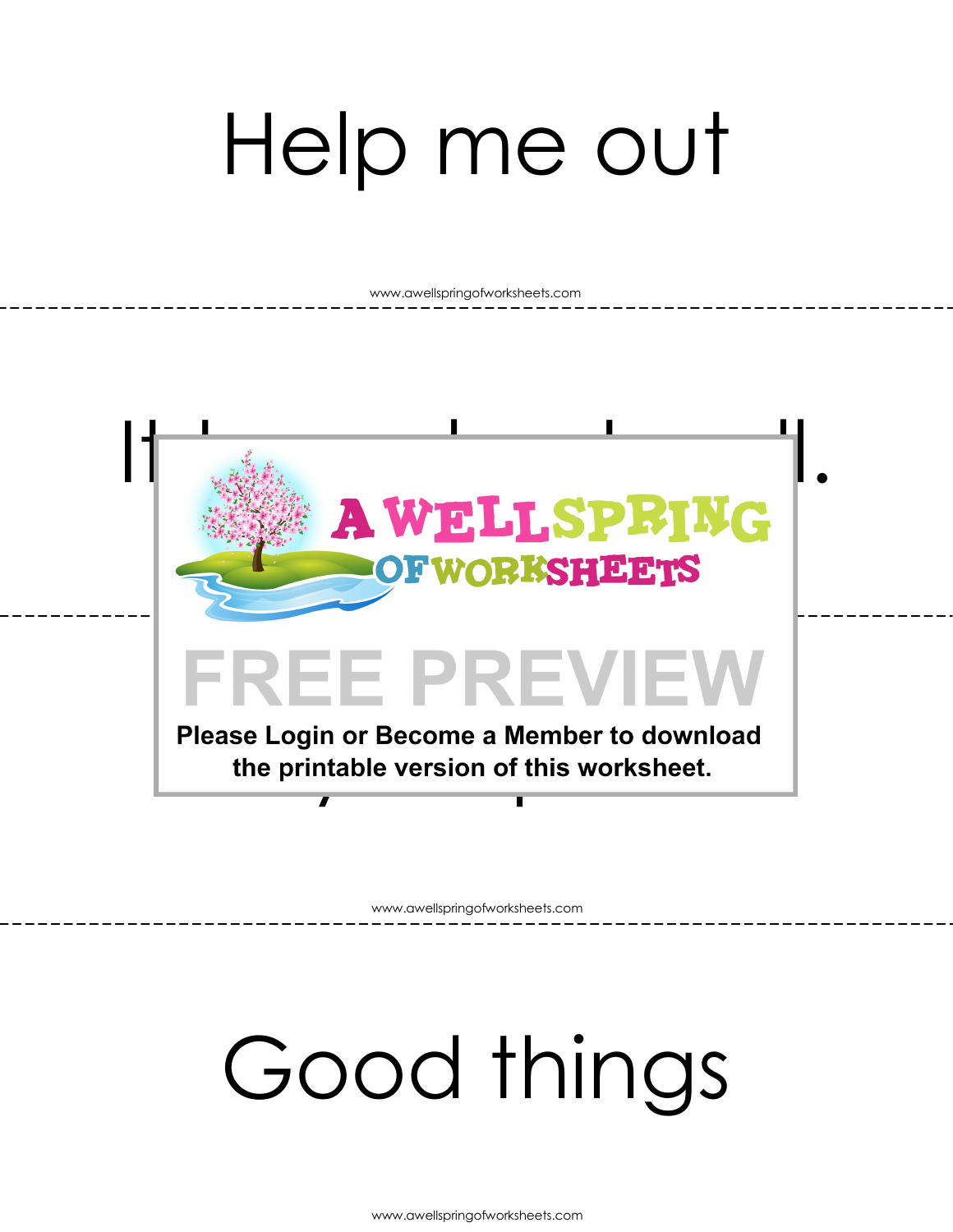## Help me out

www.awellspringofworksheets.com



www.awellspringofworksheets.com

### Good things